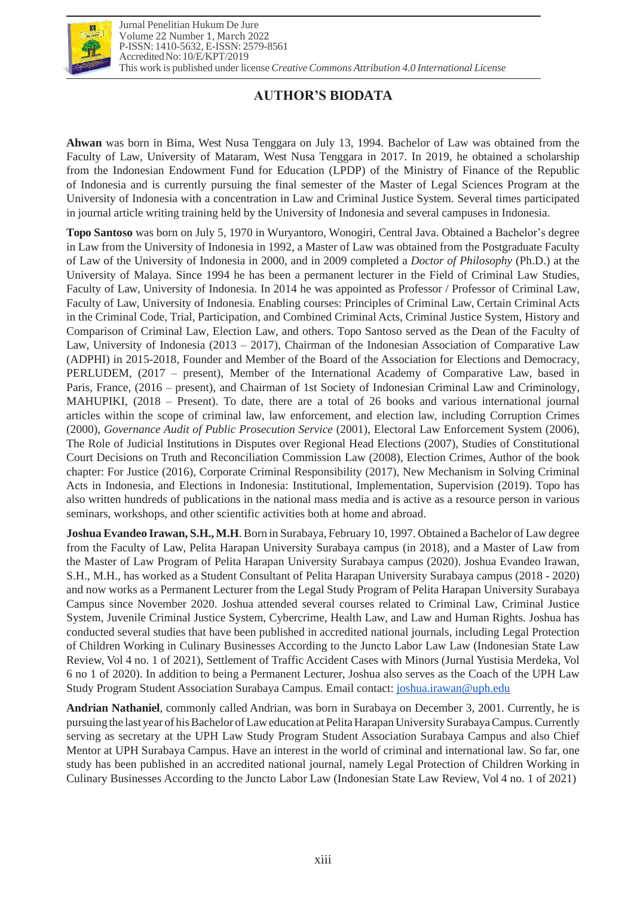

# **AUTHOR'S BIODATA**

**Ahwan** was born in Bima, West Nusa Tenggara on July 13, 1994. Bachelor of Law was obtained from the Faculty of Law, University of Mataram, West Nusa Tenggara in 2017. In 2019, he obtained a scholarship from the Indonesian Endowment Fund for Education (LPDP) of the Ministry of Finance of the Republic of Indonesia and is currently pursuing the final semester of the Master of Legal Sciences Program at the University of Indonesia with a concentration in Law and Criminal Justice System. Several times participated in journal article writing training held by the University of Indonesia and several campuses in Indonesia.

**Topo Santoso** was born on July 5, 1970 in Wuryantoro, Wonogiri, Central Java. Obtained a Bachelor's degree in Law from the University of Indonesia in 1992, a Master of Law was obtained from the Postgraduate Faculty of Law of the University of Indonesia in 2000, and in 2009 completed a *Doctor of Philosophy* (Ph.D.) at the University of Malaya. Since 1994 he has been a permanent lecturer in the Field of Criminal Law Studies, Faculty of Law, University of Indonesia. In 2014 he was appointed as Professor / Professor of Criminal Law, Faculty of Law, University of Indonesia. Enabling courses: Principles of Criminal Law, Certain Criminal Acts in the Criminal Code, Trial, Participation, and Combined Criminal Acts, Criminal Justice System, History and Comparison of Criminal Law, Election Law, and others. Topo Santoso served as the Dean of the Faculty of Law, University of Indonesia (2013 – 2017), Chairman of the Indonesian Association of Comparative Law (ADPHI) in 2015-2018, Founder and Member of the Board of the Association for Elections and Democracy, PERLUDEM, (2017 – present), Member of the International Academy of Comparative Law, based in Paris, France, (2016 – present), and Chairman of 1st Society of Indonesian Criminal Law and Criminology, MAHUPIKI, (2018 – Present). To date, there are a total of 26 books and various international journal articles within the scope of criminal law, law enforcement, and election law, including Corruption Crimes (2000), *Governance Audit of Public Prosecution Service* (2001), Electoral Law Enforcement System (2006), The Role of Judicial Institutions in Disputes over Regional Head Elections (2007), Studies of Constitutional Court Decisions on Truth and Reconciliation Commission Law (2008), Election Crimes, Author of the book chapter: For Justice (2016), Corporate Criminal Responsibility (2017), New Mechanism in Solving Criminal Acts in Indonesia, and Elections in Indonesia: Institutional, Implementation, Supervision (2019). Topo has also written hundreds of publications in the national mass media and is active as a resource person in various seminars, workshops, and other scientific activities both at home and abroad.

**Joshua Evandeo Irawan, S.H., M.H**.Born in Surabaya, February 10, 1997. Obtained a Bachelor of Law degree from the Faculty of Law, Pelita Harapan University Surabaya campus (in 2018), and a Master of Law from the Master of Law Program of Pelita Harapan University Surabaya campus (2020). Joshua Evandeo Irawan, S.H., M.H., has worked as a Student Consultant of Pelita Harapan University Surabaya campus (2018 - 2020) and now works as a Permanent Lecturer from the Legal Study Program of Pelita Harapan University Surabaya Campus since November 2020. Joshua attended several courses related to Criminal Law, Criminal Justice System, Juvenile Criminal Justice System, Cybercrime, Health Law, and Law and Human Rights. Joshua has conducted several studies that have been published in accredited national journals, including Legal Protection of Children Working in Culinary Businesses According to the Juncto Labor Law Law (Indonesian State Law Review, Vol 4 no. 1 of 2021), Settlement of Traffic Accident Cases with Minors (Jurnal Yustisia Merdeka, Vol 6 no 1 of 2020). In addition to being a Permanent Lecturer, Joshua also serves as the Coach of the UPH Law Study Program Student Association Surabaya Campus. Email contact: [joshua.irawan@uph.edu](mailto:joshua.irawan@uph.edu)

**Andrian Nathaniel**, commonly called Andrian, was born in Surabaya on December 3, 2001. Currently, he is pursuing the last year of hisBachelor ofLaweducation atPelitaHarapanUniversity SurabayaCampus.Currently serving as secretary at the UPH Law Study Program Student Association Surabaya Campus and also Chief Mentor at UPH Surabaya Campus. Have an interest in the world of criminal and international law. So far, one study has been published in an accredited national journal, namely Legal Protection of Children Working in Culinary Businesses According to the Juncto Labor Law (Indonesian State Law Review, Vol 4 no. 1 of 2021)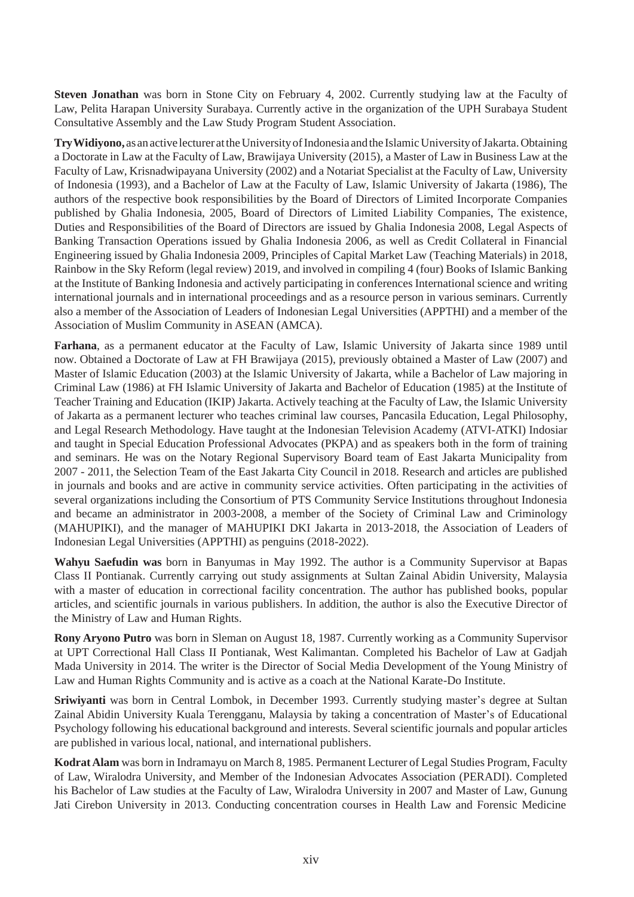**Steven Jonathan** was born in Stone City on February 4, 2002. Currently studying law at the Faculty of Law, Pelita Harapan University Surabaya. Currently active in the organization of the UPH Surabaya Student Consultative Assembly and the Law Study Program Student Association.

**Try Widiyono,** as an active lecturer at the University of Indonesia and the Islamic University of Jakarta. Obtaining a Doctorate in Law at the Faculty of Law, Brawijaya University (2015), a Master of Law in Business Law at the Faculty of Law, Krisnadwipayana University (2002) and a Notariat Specialist at the Faculty of Law, University of Indonesia (1993), and a Bachelor of Law at the Faculty of Law, Islamic University of Jakarta (1986), The authors of the respective book responsibilities by the Board of Directors of Limited Incorporate Companies published by Ghalia Indonesia, 2005, Board of Directors of Limited Liability Companies, The existence, Duties and Responsibilities of the Board of Directors are issued by Ghalia Indonesia 2008, Legal Aspects of Banking Transaction Operations issued by Ghalia Indonesia 2006, as well as Credit Collateral in Financial Engineering issued by Ghalia Indonesia 2009, Principles of Capital Market Law (Teaching Materials) in 2018, Rainbow in the Sky Reform (legal review) 2019, and involved in compiling 4 (four) Books of Islamic Banking at the Institute of Banking Indonesia and actively participating in conferences International science and writing international journals and in international proceedings and as a resource person in various seminars. Currently also a member of the Association of Leaders of Indonesian Legal Universities (APPTHI) and a member of the Association of Muslim Community in ASEAN (AMCA).

**Farhana**, as a permanent educator at the Faculty of Law, Islamic University of Jakarta since 1989 until now. Obtained a Doctorate of Law at FH Brawijaya (2015), previously obtained a Master of Law (2007) and Master of Islamic Education (2003) at the Islamic University of Jakarta, while a Bachelor of Law majoring in Criminal Law (1986) at FH Islamic University of Jakarta and Bachelor of Education (1985) at the Institute of Teacher Training and Education (IKIP) Jakarta. Actively teaching at the Faculty of Law, the Islamic University of Jakarta as a permanent lecturer who teaches criminal law courses, Pancasila Education, Legal Philosophy, and Legal Research Methodology. Have taught at the Indonesian Television Academy (ATVI-ATKI) Indosiar and taught in Special Education Professional Advocates (PKPA) and as speakers both in the form of training and seminars. He was on the Notary Regional Supervisory Board team of East Jakarta Municipality from 2007 - 2011, the Selection Team of the East Jakarta City Council in 2018. Research and articles are published in journals and books and are active in community service activities. Often participating in the activities of several organizations including the Consortium of PTS Community Service Institutions throughout Indonesia and became an administrator in 2003-2008, a member of the Society of Criminal Law and Criminology (MAHUPIKI), and the manager of MAHUPIKI DKI Jakarta in 2013-2018, the Association of Leaders of Indonesian Legal Universities (APPTHI) as penguins (2018-2022).

**Wahyu Saefudin was** born in Banyumas in May 1992. The author is a Community Supervisor at Bapas Class II Pontianak. Currently carrying out study assignments at Sultan Zainal Abidin University, Malaysia with a master of education in correctional facility concentration. The author has published books, popular articles, and scientific journals in various publishers. In addition, the author is also the Executive Director of the Ministry of Law and Human Rights.

**Rony Aryono Putro** was born in Sleman on August 18, 1987. Currently working as a Community Supervisor at UPT Correctional Hall Class II Pontianak, West Kalimantan. Completed his Bachelor of Law at Gadjah Mada University in 2014. The writer is the Director of Social Media Development of the Young Ministry of Law and Human Rights Community and is active as a coach at the National Karate-Do Institute.

**Sriwiyanti** was born in Central Lombok, in December 1993. Currently studying master's degree at Sultan Zainal Abidin University Kuala Terengganu, Malaysia by taking a concentration of Master's of Educational Psychology following his educational background and interests. Several scientific journals and popular articles are published in various local, national, and international publishers.

**KodratAlam** was born in Indramayu on March 8, 1985. Permanent Lecturer of Legal Studies Program, Faculty of Law, Wiralodra University, and Member of the Indonesian Advocates Association (PERADI). Completed his Bachelor of Law studies at the Faculty of Law, Wiralodra University in 2007 and Master of Law, Gunung Jati Cirebon University in 2013. Conducting concentration courses in Health Law and Forensic Medicine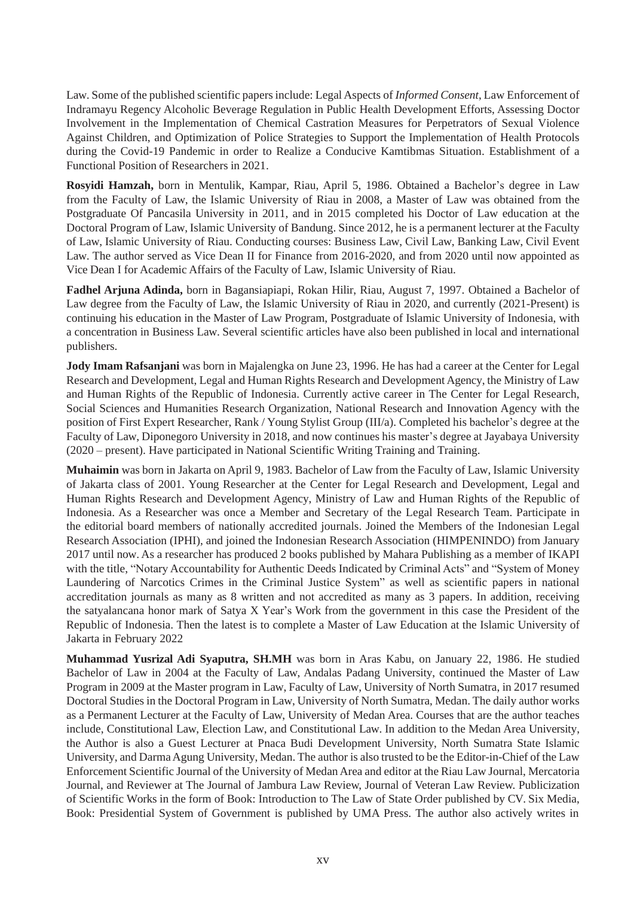Law. Some of the published scientific papers include: Legal Aspects of *Informed Consent*, Law Enforcement of Indramayu Regency Alcoholic Beverage Regulation in Public Health Development Efforts, Assessing Doctor Involvement in the Implementation of Chemical Castration Measures for Perpetrators of Sexual Violence Against Children, and Optimization of Police Strategies to Support the Implementation of Health Protocols during the Covid-19 Pandemic in order to Realize a Conducive Kamtibmas Situation. Establishment of a Functional Position of Researchers in 2021.

**Rosyidi Hamzah,** born in Mentulik, Kampar, Riau, April 5, 1986. Obtained a Bachelor's degree in Law from the Faculty of Law, the Islamic University of Riau in 2008, a Master of Law was obtained from the Postgraduate Of Pancasila University in 2011, and in 2015 completed his Doctor of Law education at the Doctoral Program of Law, Islamic University of Bandung. Since 2012, he is a permanent lecturer at the Faculty of Law, Islamic University of Riau. Conducting courses: Business Law, Civil Law, Banking Law, Civil Event Law. The author served as Vice Dean II for Finance from 2016-2020, and from 2020 until now appointed as Vice Dean I for Academic Affairs of the Faculty of Law, Islamic University of Riau.

**Fadhel Arjuna Adinda,** born in Bagansiapiapi, Rokan Hilir, Riau, August 7, 1997. Obtained a Bachelor of Law degree from the Faculty of Law, the Islamic University of Riau in 2020, and currently (2021-Present) is continuing his education in the Master of Law Program, Postgraduate of Islamic University of Indonesia, with a concentration in Business Law. Several scientific articles have also been published in local and international publishers.

**Jody Imam Rafsanjani** was born in Majalengka on June 23, 1996. He has had a career at the Center for Legal Research and Development, Legal and Human Rights Research and Development Agency, the Ministry of Law and Human Rights of the Republic of Indonesia. Currently active career in The Center for Legal Research, Social Sciences and Humanities Research Organization, National Research and Innovation Agency with the position of First Expert Researcher, Rank / Young Stylist Group (III/a). Completed his bachelor's degree at the Faculty of Law, Diponegoro University in 2018, and now continues his master's degree at Jayabaya University (2020 – present). Have participated in National Scientific Writing Training and Training.

**Muhaimin** was born in Jakarta on April 9, 1983. Bachelor of Law from the Faculty of Law, Islamic University of Jakarta class of 2001. Young Researcher at the Center for Legal Research and Development, Legal and Human Rights Research and Development Agency, Ministry of Law and Human Rights of the Republic of Indonesia. As a Researcher was once a Member and Secretary of the Legal Research Team. Participate in the editorial board members of nationally accredited journals. Joined the Members of the Indonesian Legal Research Association (IPHI), and joined the Indonesian Research Association (HIMPENINDO) from January 2017 until now. As a researcher has produced 2 books published by Mahara Publishing as a member of IKAPI with the title, "Notary Accountability for Authentic Deeds Indicated by Criminal Acts" and "System of Money Laundering of Narcotics Crimes in the Criminal Justice System" as well as scientific papers in national accreditation journals as many as 8 written and not accredited as many as 3 papers. In addition, receiving the satyalancana honor mark of Satya X Year's Work from the government in this case the President of the Republic of Indonesia. Then the latest is to complete a Master of Law Education at the Islamic University of Jakarta in February 2022

**Muhammad Yusrizal Adi Syaputra, SH.MH** was born in Aras Kabu, on January 22, 1986. He studied Bachelor of Law in 2004 at the Faculty of Law, Andalas Padang University, continued the Master of Law Program in 2009 at the Master program in Law, Faculty of Law, University of North Sumatra, in 2017 resumed Doctoral Studies in the Doctoral Program in Law, University of North Sumatra, Medan. The daily author works as a Permanent Lecturer at the Faculty of Law, University of Medan Area. Courses that are the author teaches include, Constitutional Law, Election Law, and Constitutional Law. In addition to the Medan Area University, the Author is also a Guest Lecturer at Pnaca Budi Development University, North Sumatra State Islamic University, and DarmaAgung University, Medan. The author is also trusted to be the Editor-in-Chief of the Law Enforcement Scientific Journal of the University of Medan Area and editor at the Riau Law Journal, Mercatoria Journal, and Reviewer at The Journal of Jambura Law Review, Journal of Veteran Law Review. Publicization of Scientific Works in the form of Book: Introduction to The Law of State Order published by CV. Six Media, Book: Presidential System of Government is published by UMA Press. The author also actively writes in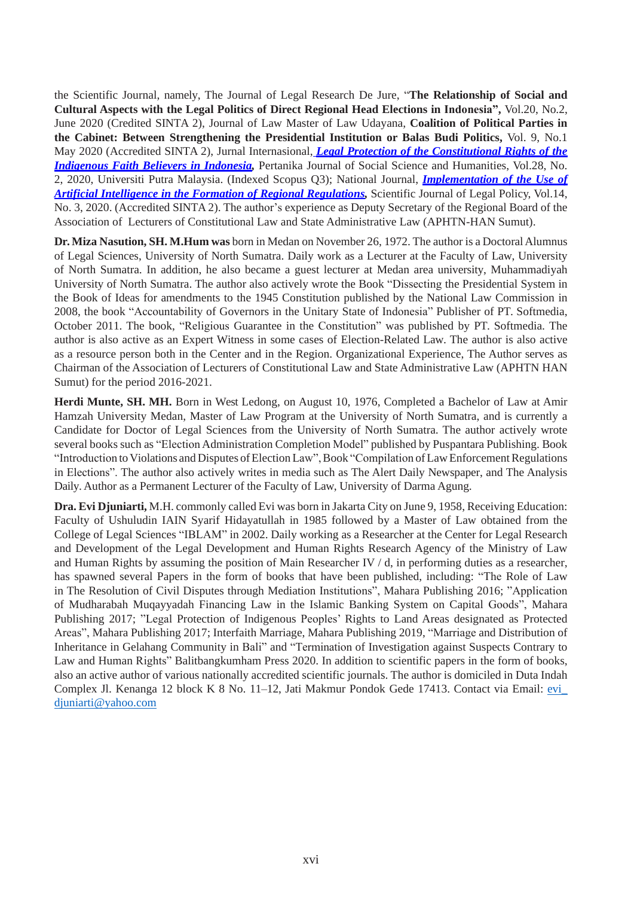the Scientific Journal, namely, The Journal of Legal Research De Jure, "**The Relationship of Social and Cultural Aspects with the Legal Politics of Direct Regional Head Elections in Indonesia",** Vol.20, No.2, June 2020 (Credited SINTA 2), Journal of Law Master of Law Udayana, **Coalition of Political Parties in the Cabinet: Between Strengthening the Presidential Institution or Balas Budi Politics,** Vol. 9, No.1 May 2020 (Accredited SINTA 2), Jurnal Internasional, *Legal Protection of the Constitutional Rights of the Indigenous Faith Believers in Indonesia,* Pertanika Journal of Social Science and Humanities, Vol.28, No. 2, 2020, Universiti Putra Malaysia. (Indexed Scopus Q3); National Journal, *Implementation of the Use of Artificial Intelligence in the Formation of Regional Regulations,* Scientific Journal of Legal Policy, Vol.14, No. 3, 2020. (Accredited SINTA 2). The author's experience as Deputy Secretary of the Regional Board of the Association of Lecturers of Constitutional Law and State Administrative Law (APHTN-HAN Sumut).

**Dr.Miza Nasution, SH. M.Hum was** born in Medan on November 26, 1972. The author is a DoctoralAlumnus of Legal Sciences, University of North Sumatra. Daily work as a Lecturer at the Faculty of Law, University of North Sumatra. In addition, he also became a guest lecturer at Medan area university, Muhammadiyah University of North Sumatra. The author also actively wrote the Book "Dissecting the Presidential System in the Book of Ideas for amendments to the 1945 Constitution published by the National Law Commission in 2008, the book "Accountability of Governors in the Unitary State of Indonesia" Publisher of PT. Softmedia, October 2011. The book, "Religious Guarantee in the Constitution" was published by PT. Softmedia. The author is also active as an Expert Witness in some cases of Election-Related Law. The author is also active as a resource person both in the Center and in the Region. Organizational Experience, The Author serves as Chairman of the Association of Lecturers of Constitutional Law and State Administrative Law (APHTN HAN Sumut) for the period 2016-2021.

**Herdi Munte, SH. MH.** Born in West Ledong, on August 10, 1976, Completed a Bachelor of Law at Amir Hamzah University Medan, Master of Law Program at the University of North Sumatra, and is currently a Candidate for Doctor of Legal Sciences from the University of North Sumatra. The author actively wrote several books such as "Election Administration Completion Model" published by Puspantara Publishing. Book "Introduction to Violations and Disputes of Election Law", Book "Compilation of Law Enforcement Regulations in Elections". The author also actively writes in media such as The Alert Daily Newspaper, and The Analysis Daily. Author as a Permanent Lecturer of the Faculty of Law, University of Darma Agung.

**Dra. Evi Djuniarti,** M.H. commonly called Evi was born in Jakarta City on June 9, 1958, Receiving Education: Faculty of Ushuludin IAIN Syarif Hidayatullah in 1985 followed by a Master of Law obtained from the College of Legal Sciences "IBLAM" in 2002. Daily working as a Researcher at the Center for Legal Research and Development of the Legal Development and Human Rights Research Agency of the Ministry of Law and Human Rights by assuming the position of Main Researcher IV / d, in performing duties as a researcher, has spawned several Papers in the form of books that have been published, including: "The Role of Law in The Resolution of Civil Disputes through Mediation Institutions", Mahara Publishing 2016; "Application of Mudharabah Muqayyadah Financing Law in the Islamic Banking System on Capital Goods", Mahara Publishing 2017; "Legal Protection of Indigenous Peoples' Rights to Land Areas designated as Protected Areas", Mahara Publishing 2017; Interfaith Marriage, Mahara Publishing 2019, "Marriage and Distribution of Inheritance in Gelahang Community in Bali" and "Termination of Investigation against Suspects Contrary to Law and Human Rights" Balitbangkumham Press 2020. In addition to scientific papers in the form of books, also an active author of various nationally accredited scientific journals. The author is domiciled in Duta Indah Complex Jl. Kenanga 12 block K 8 No. 11–12, Jati Makmur Pondok Gede 17413. Contact via Email: evi\_ [djuniarti@yahoo.com](mailto:djuniarti@yahoo.com)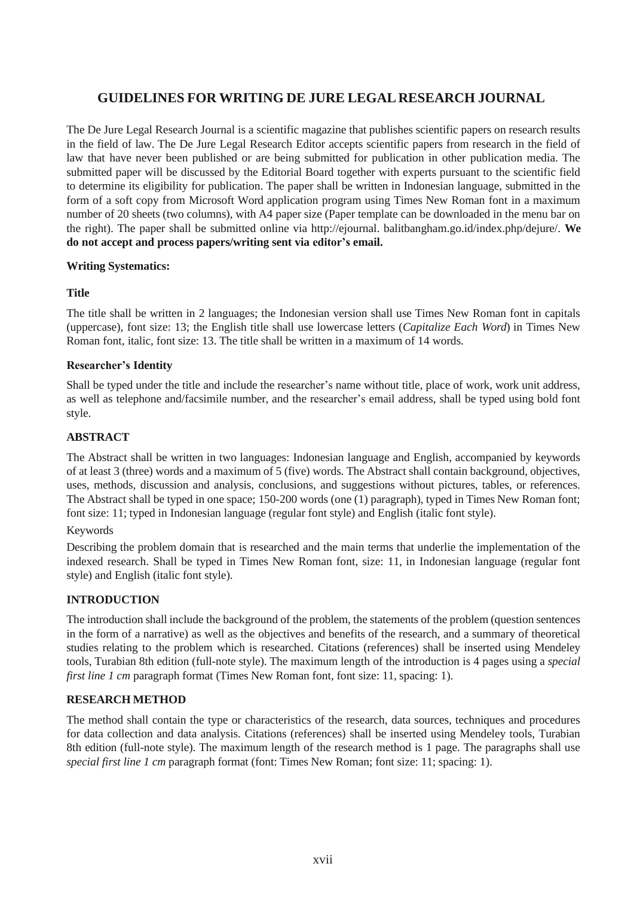# **GUIDELINES FOR WRITING DE JURE LEGAL RESEARCH JOURNAL**

The De Jure Legal Research Journal is a scientific magazine that publishes scientific papers on research results in the field of law. The De Jure Legal Research Editor accepts scientific papers from research in the field of law that have never been published or are being submitted for publication in other publication media. The submitted paper will be discussed by the Editorial Board together with experts pursuant to the scientific field to determine its eligibility for publication. The paper shall be written in Indonesian language, submitted in the form of a soft copy from Microsoft Word application program using Times New Roman font in a maximum number of 20 sheets (two columns), with A4 paper size (Paper template can be downloaded in the menu bar on the right). The paper shall be submitted online via [http://ejournal.](http://ejournal/) balitbangham.go.id/index.php/dejure/. **We do not accept and process papers/writing sent via editor's email.**

# **Writing Systematics:**

# **Title**

The title shall be written in 2 languages; the Indonesian version shall use Times New Roman font in capitals (uppercase), font size: 13; the English title shall use lowercase letters (*Capitalize Each Word*) in Times New Roman font, italic, font size: 13. The title shall be written in a maximum of 14 words.

#### **Researcher's Identity**

Shall be typed under the title and include the researcher's name without title, place of work, work unit address, as well as telephone and/facsimile number, and the researcher's email address, shall be typed using bold font style.

# **ABSTRACT**

The Abstract shall be written in two languages: Indonesian language and English, accompanied by keywords of at least 3 (three) words and a maximum of 5 (five) words. The Abstract shall contain background, objectives, uses, methods, discussion and analysis, conclusions, and suggestions without pictures, tables, or references. The Abstract shall be typed in one space; 150-200 words (one (1) paragraph), typed in Times New Roman font; font size: 11; typed in Indonesian language (regular font style) and English (italic font style).

# Keywords

Describing the problem domain that is researched and the main terms that underlie the implementation of the indexed research. Shall be typed in Times New Roman font, size: 11, in Indonesian language (regular font style) and English (italic font style).

# **INTRODUCTION**

The introduction shall include the background of the problem, the statements of the problem (question sentences in the form of a narrative) as well as the objectives and benefits of the research, and a summary of theoretical studies relating to the problem which is researched. Citations (references) shall be inserted using Mendeley tools, Turabian 8th edition (full-note style). The maximum length of the introduction is 4 pages using a *special first line 1 cm* paragraph format (Times New Roman font, font size: 11, spacing: 1).

# **RESEARCH METHOD**

The method shall contain the type or characteristics of the research, data sources, techniques and procedures for data collection and data analysis. Citations (references) shall be inserted using Mendeley tools, Turabian 8th edition (full-note style). The maximum length of the research method is 1 page. The paragraphs shall use *special first line 1 cm* paragraph format (font: Times New Roman; font size: 11; spacing: 1).